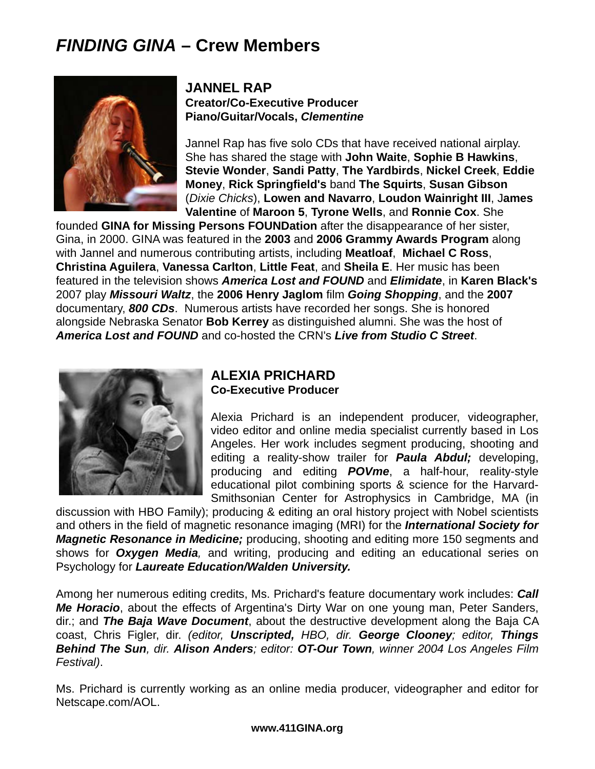# *FINDING GINA* **– Crew Members**



## **JANNEL RAP Creator/Co-Executive Producer Piano/Guitar/Vocals,** *Clementine*

Jannel Rap has five solo CDs that have received national airplay. She has shared the stage with **John Waite**, **Sophie B Hawkins**, **Stevie Wonder**, **Sandi Patty**, **The Yardbirds**, **Nickel Creek**, **Eddie Money**, **Rick Springfield's** band **The Squirts**, **Susan Gibson** (*Dixie Chicks*), **Lowen and Navarro**, **Loudon Wainright III**, J**ames Valentine** of **Maroon 5**, **Tyrone Wells**, and **Ronnie Cox**. She

founded **GINA for Missing Persons FOUNDation** after the disappearance of her sister, Gina, in 2000. GINA was featured in the **2003** and **2006 Grammy Awards Program** along with Jannel and numerous contributing artists, including **Meatloaf**, **Michael C Ross**, **Christina Aguilera**, **Vanessa Carlton**, **Little Feat**, and **Sheila E**. Her music has been featured in the television shows *America Lost and FOUND* and *Elimidate*, in **Karen Black's** 2007 play *Missouri Waltz*, the **2006 Henry Jaglom** film *Going Shopping*, and the **2007** documentary, *800 CDs*. Numerous artists have recorded her songs. She is honored alongside Nebraska Senator **Bob Kerrey** as distinguished alumni. She was the host of *America Lost and FOUND* and co-hosted the CRN's *Live from Studio C Street*.



#### **ALEXIA PRICHARD Co-Executive Producer**

Alexia Prichard is an independent producer, videographer, video editor and online media specialist currently based in Los Angeles. Her work includes segment producing, shooting and editing a reality-show trailer for *Paula Abdul;* developing, producing and editing *POVme*, a half-hour, reality-style educational pilot combining sports & science for the Harvard-Smithsonian Center for Astrophysics in Cambridge, MA (in

discussion with HBO Family); producing & editing an oral history project with Nobel scientists and others in the field of magnetic resonance imaging (MRI) for the *International Society for Magnetic Resonance in Medicine;* producing, shooting and editing more 150 segments and shows for *Oxygen Media,* and writing, producing and editing an educational series on Psychology for *Laureate Education/Walden University.* 

Among her numerous editing credits, Ms. Prichard's feature documentary work includes: *Call Me Horacio*, about the effects of Argentina's Dirty War on one young man, Peter Sanders, dir.; and *The Baja Wave Document*, about the destructive development along the Baja CA coast, Chris Figler, dir. *(editor, Unscripted, HBO, dir. George Clooney; editor, Things Behind The Sun, dir. Alison Anders; editor: OT-Our Town, winner 2004 Los Angeles Film Festival)*.

Ms. Prichard is currently working as an online media producer, videographer and editor for Netscape.com/AOL.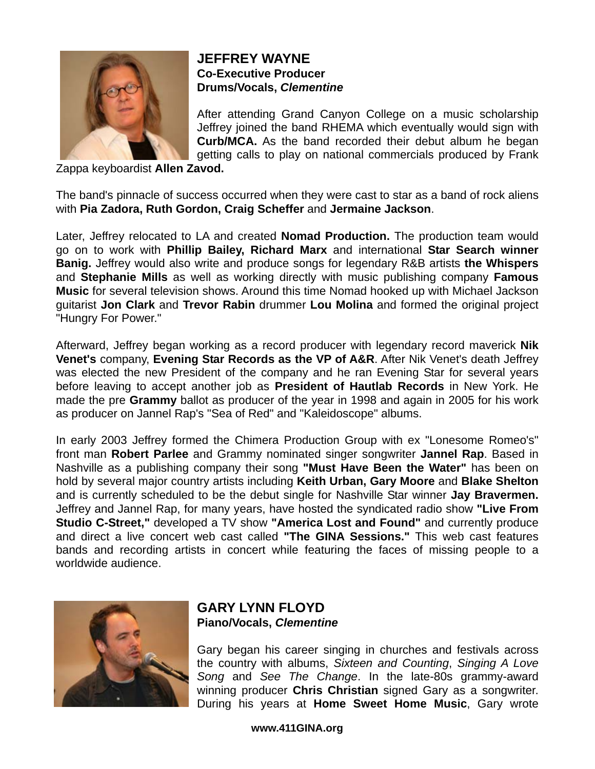

#### **JEFFREY WAYNE Co-Executive Producer Drums/Vocals,** *Clementine*

After attending Grand Canyon College on a music scholarship Jeffrey joined the band RHEMA which eventually would sign with **Curb/MCA.** As the band recorded their debut album he began getting calls to play on national commercials produced by Frank

Zappa keyboardist **Allen Zavod.** 

The band's pinnacle of success occurred when they were cast to star as a band of rock aliens with **Pia Zadora, Ruth Gordon, Craig Scheffer** and **Jermaine Jackson**.

Later, Jeffrey relocated to LA and created **Nomad Production.** The production team would go on to work with **Phillip Bailey, Richard Marx** and international **Star Search winner Banig.** Jeffrey would also write and produce songs for legendary R&B artists **the Whispers** and **Stephanie Mills** as well as working directly with music publishing company **Famous Music** for several television shows. Around this time Nomad hooked up with Michael Jackson guitarist **Jon Clark** and **Trevor Rabin** drummer **Lou Molina** and formed the original project "Hungry For Power."

Afterward, Jeffrey began working as a record producer with legendary record maverick **Nik Venet's** company, **Evening Star Records as the VP of A&R**. After Nik Venet's death Jeffrey was elected the new President of the company and he ran Evening Star for several years before leaving to accept another job as **President of Hautlab Records** in New York. He made the pre **Grammy** ballot as producer of the year in 1998 and again in 2005 for his work as producer on Jannel Rap's "Sea of Red" and "Kaleidoscope" albums.

In early 2003 Jeffrey formed the Chimera Production Group with ex "Lonesome Romeo's" front man **Robert Parlee** and Grammy nominated singer songwriter **Jannel Rap**. Based in Nashville as a publishing company their song **"Must Have Been the Water"** has been on hold by several major country artists including **Keith Urban, Gary Moore** and **Blake Shelton** and is currently scheduled to be the debut single for Nashville Star winner **Jay Bravermen.** Jeffrey and Jannel Rap, for many years, have hosted the syndicated radio show **"Live From Studio C-Street,"** developed a TV show **"America Lost and Found"** and currently produce and direct a live concert web cast called **"The GINA Sessions."** This web cast features bands and recording artists in concert while featuring the faces of missing people to a worldwide audience.



### **GARY LYNN FLOYD Piano/Vocals,** *Clementine*

Gary began his career singing in churches and festivals across the country with albums, *Sixteen and Counting*, *Singing A Love Song* and *See The Change*. In the late-80s grammy-award winning producer **Chris Christian** signed Gary as a songwriter. During his years at **Home Sweet Home Music**, Gary wrote